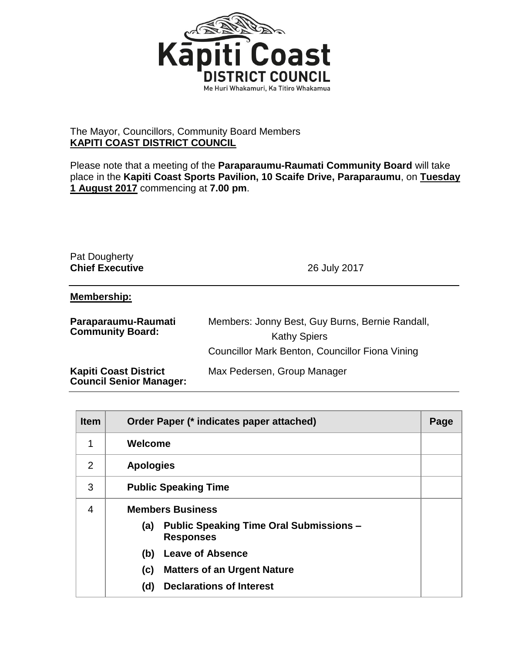

## The Mayor, Councillors, Community Board Members **KAPITI COAST DISTRICT COUNCIL**

Please note that a meeting of the **Paraparaumu-Raumati Community Board** will take place in the **Kapiti Coast Sports Pavilion, 10 Scaife Drive, Paraparaumu**, on **Tuesday 1 August 2017** commencing at **7.00 pm**.

## Pat Dougherty **Chief Executive** 26 July 2017

## **Membership:**

| Paraparaumu-Raumati<br><b>Community Board:</b>                 | Members: Jonny Best, Guy Burns, Bernie Randall,<br><b>Kathy Spiers</b> |
|----------------------------------------------------------------|------------------------------------------------------------------------|
|                                                                | Councillor Mark Benton, Councillor Fiona Vining                        |
| <b>Kapiti Coast District</b><br><b>Council Senior Manager:</b> | Max Pedersen, Group Manager                                            |

| <b>Item</b>    | Order Paper (* indicates paper attached)                                  |  |
|----------------|---------------------------------------------------------------------------|--|
| 1              | Welcome                                                                   |  |
| 2              | <b>Apologies</b>                                                          |  |
| 3              | <b>Public Speaking Time</b>                                               |  |
| $\overline{4}$ | <b>Members Business</b>                                                   |  |
|                | <b>Public Speaking Time Oral Submissions -</b><br>(a)<br><b>Responses</b> |  |
|                | <b>Leave of Absence</b><br>(b)                                            |  |
|                | <b>Matters of an Urgent Nature</b><br>(c)                                 |  |
|                | <b>Declarations of Interest</b><br>(d)                                    |  |